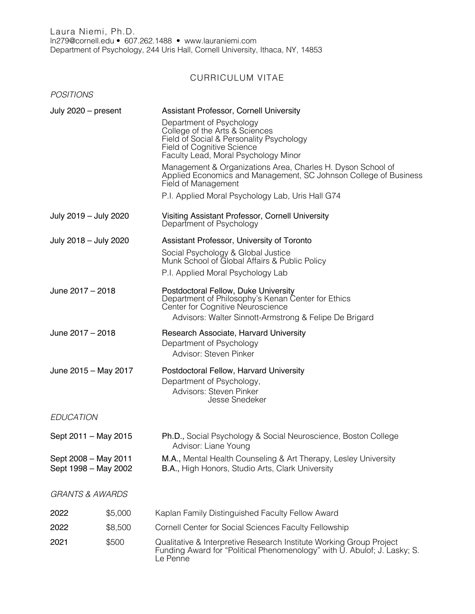## CURRICULUM VITAE

| <b>POSITIONS</b>                             |         |                                                                                                                                                                                                                                       |
|----------------------------------------------|---------|---------------------------------------------------------------------------------------------------------------------------------------------------------------------------------------------------------------------------------------|
| July 2020 - present                          |         | <b>Assistant Professor, Cornell University</b><br>Department of Psychology<br>College of the Arts & Sciences<br>Field of Social & Personality Psychology<br><b>Field of Cognitive Science</b><br>Faculty Lead, Moral Psychology Minor |
|                                              |         | Management & Organizations Area, Charles H. Dyson School of<br>Applied Economics and Management, SC Johnson College of Business<br>Field of Management                                                                                |
|                                              |         | P.I. Applied Moral Psychology Lab, Uris Hall G74                                                                                                                                                                                      |
| July 2019 - July 2020                        |         | Visiting Assistant Professor, Cornell University<br>Department of Psychology                                                                                                                                                          |
| July 2018 - July 2020                        |         | Assistant Professor, University of Toronto                                                                                                                                                                                            |
|                                              |         | Social Psychology & Global Justice<br>Munk School of Global Affairs & Public Policy                                                                                                                                                   |
|                                              |         | P.I. Applied Moral Psychology Lab                                                                                                                                                                                                     |
| June 2017 - 2018                             |         | Postdoctoral Fellow, Duke University<br>Department of Philosophy's Kenan Center for Ethics<br>Center for Cognitive Neuroscience<br>Advisors: Walter Sinnott-Armstrong & Felipe De Brigard                                             |
| June 2017 - 2018                             |         | Research Associate, Harvard University<br>Department of Psychology<br>Advisor: Steven Pinker                                                                                                                                          |
| June 2015 - May 2017                         |         | Postdoctoral Fellow, Harvard University<br>Department of Psychology,<br>Advisors: Steven Pinker<br><b>Jesse Snedeker</b>                                                                                                              |
| <b>EDUCATION</b>                             |         |                                                                                                                                                                                                                                       |
| Sept 2011 - May 2015                         |         | Ph.D., Social Psychology & Social Neuroscience, Boston College<br>Advisor: Liane Young                                                                                                                                                |
| Sept 2008 - May 2011<br>Sept 1998 - May 2002 |         | M.A., Mental Health Counseling & Art Therapy, Lesley University<br>B.A., High Honors, Studio Arts, Clark University                                                                                                                   |
| <b>GRANTS &amp; AWARDS</b>                   |         |                                                                                                                                                                                                                                       |
| 2022                                         | \$5,000 | Kaplan Family Distinguished Faculty Fellow Award                                                                                                                                                                                      |
| 2022                                         | \$8,500 | Cornell Center for Social Sciences Faculty Fellowship                                                                                                                                                                                 |
| 2021                                         | \$500   | Qualitative & Interpretive Research Institute Working Group Project<br>Funding Award for "Political Phenomenology" with U. Abulof; J. Lasky; S.<br>Le Penne                                                                           |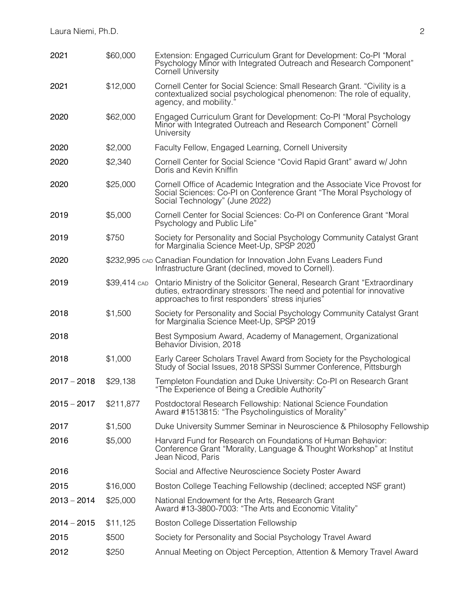| 2021          | \$60,000     | Extension: Engaged Curriculum Grant for Development: Co-PI "Moral<br>Psychology Minor with Integrated Outreach and Research Component"<br>Cornell University                                           |
|---------------|--------------|--------------------------------------------------------------------------------------------------------------------------------------------------------------------------------------------------------|
| 2021          | \$12,000     | Cornell Center for Social Science: Small Research Grant. "Civility is a<br>contextualized social psychological phenomenon: The role of equality,<br>agency, and mobility.'                             |
| 2020          | \$62,000     | Engaged Curriculum Grant for Development: Co-PI "Moral Psychology<br>Minor with Integrated Outreach and Research Component" Cornell<br>University                                                      |
| 2020          | \$2,000      | Faculty Fellow, Engaged Learning, Cornell University                                                                                                                                                   |
| 2020          | \$2,340      | Cornell Center for Social Science "Covid Rapid Grant" award w/ John<br>Doris and Kevin Kniffin                                                                                                         |
| 2020          | \$25,000     | Cornell Office of Academic Integration and the Associate Vice Provost for<br>Social Sciences: Co-PI on Conference Grant "The Moral Psychology of<br>Social Technology" (June 2022)                     |
| 2019          | \$5,000      | Cornell Center for Social Sciences: Co-PI on Conference Grant "Moral<br>Psychology and Public Life"                                                                                                    |
| 2019          | \$750        | Society for Personality and Social Psychology Community Catalyst Grant<br>for Marginalia Science Meet-Up, SPSP 2020                                                                                    |
| 2020          |              | \$232,995 cap Canadian Foundation for Innovation John Evans Leaders Fund<br>Infrastructure Grant (declined, moved to Cornell).                                                                         |
| 2019          | \$39,414 CAD | Ontario Ministry of the Solicitor General, Research Grant "Extraordinary<br>duties, extraordinary stressors: The need and potential for innovative<br>approaches to first responders' stress injuries' |
| 2018          | \$1,500      | Society for Personality and Social Psychology Community Catalyst Grant<br>for Marginalia Science Meet-Up, SPSP 2019                                                                                    |
| 2018          |              | Best Symposium Award, Academy of Management, Organizational<br>Behavior Division, 2018                                                                                                                 |
| 2018          | \$1,000      | Early Career Scholars Travel Award from Society for the Psychological<br>Study of Social Issues, 2018 SPSSI Summer Conference, Pittsburgh                                                              |
| $2017 - 2018$ | \$29,138     | Templeton Foundation and Duke University: Co-PI on Research Grant<br>"The Experience of Being a Credible Authority"                                                                                    |
| $2015 - 2017$ | \$211,877    | Postdoctoral Research Fellowship: National Science Foundation<br>Award #1513815: "The Psycholinguistics of Morality"                                                                                   |
| 2017          | \$1,500      | Duke University Summer Seminar in Neuroscience & Philosophy Fellowship                                                                                                                                 |
| 2016          | \$5,000      | Harvard Fund for Research on Foundations of Human Behavior:<br>Conference Grant "Morality, Language & Thought Workshop" at Institut<br>Jean Nicod, Paris                                               |
| 2016          |              | Social and Affective Neuroscience Society Poster Award                                                                                                                                                 |
| 2015          | \$16,000     | Boston College Teaching Fellowship (declined; accepted NSF grant)                                                                                                                                      |
| $2013 - 2014$ | \$25,000     | National Endowment for the Arts, Research Grant<br>Award #13-3800-7003: "The Arts and Economic Vitality"                                                                                               |
| $2014 - 2015$ | \$11,125     | Boston College Dissertation Fellowship                                                                                                                                                                 |
| 2015          | \$500        | Society for Personality and Social Psychology Travel Award                                                                                                                                             |
| 2012          | \$250        | Annual Meeting on Object Perception, Attention & Memory Travel Award                                                                                                                                   |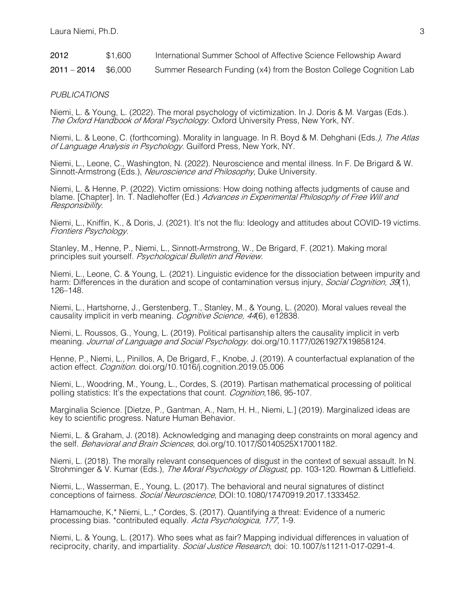| 2012          | \$1,600 | International Summer School of Affective Science Fellowship Award  |
|---------------|---------|--------------------------------------------------------------------|
| $2011 - 2014$ | \$6,000 | Summer Research Funding (x4) from the Boston College Cognition Lab |

#### *PUBLICATIONS*

Niemi, L. & Young, L. (2022). The moral psychology of victimization. In J. Doris & M. Vargas (Eds.). The Oxford Handbook of Moral Psychology. Oxford University Press, New York, NY.

Niemi, L. & Leone, C. (forthcoming). Morality in language. In R. Boyd & M. Dehghani (Eds.), The Atlas of Language Analysis in Psychology. Guilford Press, New York, NY.

Niemi, L., Leone, C., Washington, N. (2022). Neuroscience and mental illness. In F. De Brigard & W. Sinnott-Armstrong (Eds.), Neuroscience and Philosophy, Duke University.

Niemi, L. & Henne, P. (2022). Victim omissions: How doing nothing affects judgments of cause and blame. [Chapter]. In. T. Nadlehoffer (Ed.) Advances in Experimental Philosophy of Free Will and Responsibility.

Niemi, L., Kniffin, K., & Doris, J. (2021). It's not the flu: Ideology and attitudes about COVID-19 victims. Frontiers Psychology.

Stanley, M., Henne, P., Niemi, L., Sinnott-Armstrong, W., De Brigard, F. (2021). Making moral principles suit yourself. Psychological Bulletin and Review.

Niemi, L., Leone, C. & Young, L. (2021). Linguistic evidence for the dissociation between impurity and harm: Differences in the duration and scope of contamination versus injury, *Social Cognition, 39*(1), 126–148.

Niemi, L., Hartshorne, J., Gerstenberg, T., Stanley, M., & Young, L. (2020). Moral values reveal the causality implicit in verb meaning. *Cognitive Science, 44*(6), e12838.

Niemi, L. Roussos, G., Young, L. (2019). Political partisanship alters the causality implicit in verb meaning. Journal of Language and Social Psychology. doi.org/10.1177/0261927X19858124.

Henne, P., Niemi, L., Pinillos, A, De Brigard, F., Knobe, J. (2019). A counterfactual explanation of the action effect. *Cognition*. doi.org/10.1016/j.cognition.2019.05.006

Niemi, L., Woodring, M., Young, L., Cordes, S. (2019). Partisan mathematical processing of political polling statistics: It's the expectations that count. *Cognition*, 186, 95-107.

Marginalia Science. [Dietze, P., Gantman, A., Nam, H. H., Niemi, L.] (2019). Marginalized ideas are key to scientific progress. Nature Human Behavior.

Niemi, L. & Graham, J. (2018). Acknowledging and managing deep constraints on moral agency and the self. *Behavioral and Brain Sciences*, doi.org/10.1017/S0140525X17001182.

Niemi, L. (2018). The morally relevant consequences of disgust in the context of sexual assault. In N. Strohminger & V. Kumar (Eds.), The Moral Psychology of Disgust, pp. 103-120. Rowman & Littlefield.

Niemi, L., Wasserman, E., Young, L. (2017). The behavioral and neural signatures of distinct conceptions of fairness. Social Neuroscience, DOI:10.1080/17470919.2017.1333452.

Hamamouche, K,\* Niemi, L.,\* Cordes, S. (2017). Quantifying a threat: Evidence of a numeric processing bias. \*contributed equally. Acta Psychologica, 177, 1-9.

Niemi, L. & Young, L. (2017). Who sees what as fair? Mapping individual differences in valuation of reciprocity, charity, and impartiality. Social Justice Research, doi: 10.1007/s11211-017-0291-4.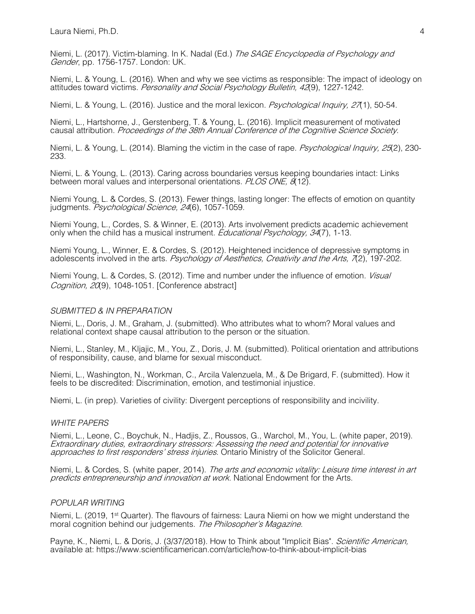Laura Niemi, Ph.D. 4

Niemi, L. (2017). Victim-blaming. In K. Nadal (Ed.) The SAGE Encyclopedia of Psychology and Gender, pp. 1756-1757. London: UK.

Niemi, L. & Young, L. (2016). When and why we see victims as responsible: The impact of ideology on attitudes toward victims. Personality and Social Psychology Bulletin, 42(9), 1227-1242.

Niemi, L. & Young, L. (2016). Justice and the moral lexicon. *Psychological Inquiry, 27*(1), 50-54.

Niemi, L., Hartshorne, J., Gerstenberg, T. & Young, L. (2016). Implicit measurement of motivated causal attribution. Proceedings of the 38th Annual Conference of the Cognitive Science Society.

Niemi, L. & Young, L. (2014). Blaming the victim in the case of rape. *Psychological Inquiry, 25*(2), 230-233.

Niemi, L. & Young, L. (2013). Caring across boundaries versus keeping boundaries intact: Links between moral values and interpersonal orientations. PLOS ONE, 8(12).

Niemi Young, L. & Cordes, S. (2013). Fewer things, lasting longer: The effects of emotion on quantity judgments. Psychological Science, 24(6), 1057-1059.

Niemi Young, L., Cordes, S. & Winner, E. (2013). Arts involvement predicts academic achievement only when the child has a musical instrument. *Educational Psychology, 34*(7), 1-13.

Niemi Young, L., Winner, E. & Cordes, S. (2012). Heightened incidence of depressive symptoms in adolescents involved in the arts. *Psychology of Aesthetics, Creativity and the Arts, 7*(2), 197-202.

Niemi Young, L. & Cordes, S. (2012). Time and number under the influence of emotion. *Visual* Cognition, 20(9), 1048-1051. [Conference abstract]

#### *SUBMITTED & IN PREPARATION*

Niemi, L., Doris, J. M., Graham, J. (submitted). Who attributes what to whom? Moral values and relational context shape causal attribution to the person or the situation.

Niemi, L., Stanley, M., Kljajic, M., You, Z., Doris, J. M. (submitted). Political orientation and attributions of responsibility, cause, and blame for sexual misconduct.

Niemi, L., Washington, N., Workman, C., Arcila Valenzuela, M., & De Brigard, F. (submitted). How it feels to be discredited: Discrimination, emotion, and testimonial injustice.

Niemi, L. (in prep). Varieties of civility: Divergent perceptions of responsibility and incivility.

#### *WHITE PAPERS*

Niemi, L., Leone, C., Boychuk, N., Hadjis, Z., Roussos, G., Warchol, M., You, L. (white paper, 2019). Extraordinary duties, extraordinary stressors: Assessing the need and potential for innovative approaches to first responders' stress injuries. Ontario Ministry of the Solicitor General.

Niemi, L. & Cordes, S. (white paper, 2014). The arts and economic vitality: Leisure time interest in art predicts entrepreneurship and innovation at work. National Endowment for the Arts.

#### *POPULAR WRITING*

Niemi, L. (2019, 1<sup>st</sup> Quarter). The flavours of fairness: Laura Niemi on how we might understand the moral cognition behind our judgements. The Philosopher's Magazine.

Payne, K., Niemi, L. & Doris, J. (3/37/2018). How to Think about "Implicit Bias". Scientific American, available at: https://www.scientificamerican.com/article/how-to-think-about-implicit-bias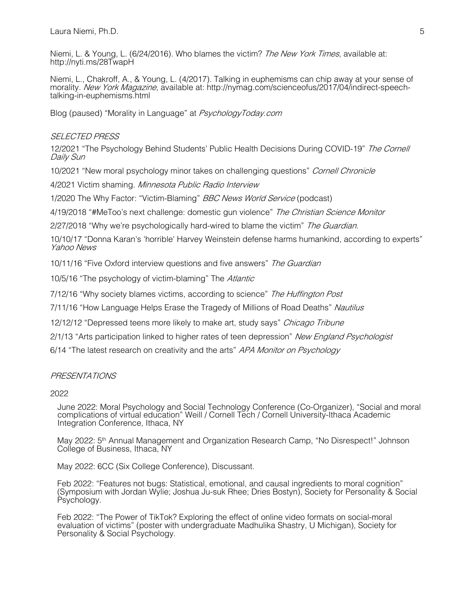Laura Niemi, Ph.D. 5

Niemi, L. & Young, L. (6/24/2016). Who blames the victim? The New York Times, available at: http://nyti.ms/28TwapH

Niemi, L., Chakroff, A., & Young, L. (4/2017). Talking in euphemisms can chip away at your sense of morality. New York Magazine, available at: http://nymag.com/scienceofus/2017/04/indirect-speechtalking-in-euphemisms.html

Blog (paused) "Morality in Language" at PsychologyToday.com

### SELECTED PRESS

12/2021 "The Psychology Behind Students' Public Health Decisions During COVID-19" The Cornell Daily Sun

10/2021 "New moral psychology minor takes on challenging questions" Cornell Chronicle

4/2021 Victim shaming. Minnesota Public Radio Interview

1/2020 The Why Factor: "Victim-Blaming" *BBC News World Service* (podcast)

4/19/2018 "#MeToo's next challenge: domestic gun violence" The Christian Science Monitor

2/27/2018 "Why we're psychologically hard-wired to blame the victim" The Guardian.

10/10/17 "Donna Karan's 'horrible' Harvey Weinstein defense harms humankind, according to experts" Yahoo News

10/11/16 "Five Oxford interview questions and five answers" The Guardian

10/5/16 "The psychology of victim-blaming" The Atlantic

7/12/16 "Why society blames victims, according to science" The Huffington Post

7/11/16 "How Language Helps Erase the Tragedy of Millions of Road Deaths" Nautilus

12/12/12 "Depressed teens more likely to make art, study says" Chicago Tribune

2/1/13 "Arts participation linked to higher rates of teen depression" New England Psychologist

6/14 "The latest research on creativity and the arts" APA Monitor on Psychology

#### PRESENTATIONS

2022

June 2022: Moral Psychology and Social Technology Conference (Co-Organizer), "Social and moral complications of virtual education" Weill / Cornell Tech / Cornell University-Ithaca Academic Integration Conference, Ithaca, NY

May 2022: 5<sup>th</sup> Annual Management and Organization Research Camp, "No Disrespect!" Johnson College of Business, Ithaca, NY

May 2022: 6CC (Six College Conference), Discussant.

Feb 2022: "Features not bugs: Statistical, emotional, and causal ingredients to moral cognition" (Symposium with Jordan Wylie; Joshua Ju-suk Rhee; Dries Bostyn), Society for Personality & Social Psychology.

Feb 2022: "The Power of TikTok? Exploring the effect of online video formats on social-moral evaluation of victims" (poster with undergraduate Madhulika Shastry, U Michigan), Society for Personality & Social Psychology.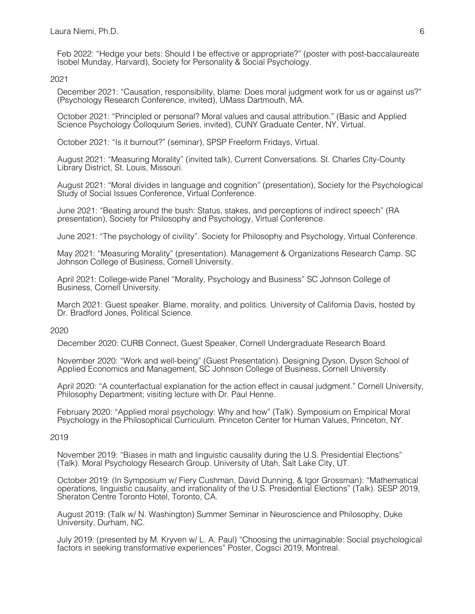Feb 2022: "Hedge your bets: Should I be effective or appropriate?" (poster with post-baccalaureate Isobel Munday, Harvard), Society for Personality & Social Psychology.

2021

December 2021: "Causation, responsibility, blame: Does moral judgment work for us or against us?" (Psychology Research Conference, invited), UMass Dartmouth, MA.

October 2021: "Principled or personal? Moral values and causal attribution." (Basic and Applied Science Psychology Colloquium Series, invited), CUNY Graduate Center, NY, Virtual.

October 2021: "Is it burnout?" (seminar), SPSP Freeform Fridays, Virtual.

August 2021: "Measuring Morality" (invited talk), Current Conversations. St. Charles City-County Library District, St. Louis, Missouri.

August 2021: "Moral divides in language and cognition" (presentation), Society for the Psychological Study of Social Issues Conference, Virtual Conference.

June 2021: "Beating around the bush: Status, stakes, and perceptions of indirect speech" (RA presentation), Society for Philosophy and Psychology, Virtual Conference.

June 2021: "The psychology of civility". Society for Philosophy and Psychology, Virtual Conference.

May 2021: "Measuring Morality" (presentation). Management & Organizations Research Camp. SC Johnson College of Business, Cornell University.

April 2021: College-wide Panel "Morality, Psychology and Business" SC Johnson College of Business, Cornell University.

March 2021: Guest speaker. Blame, morality, and politics. University of California Davis, hosted by Dr. Bradford Jones, Political Science.

#### 2020

December 2020: CURB Connect, Guest Speaker, Cornell Undergraduate Research Board.

November 2020: "Work and well-being" (Guest Presentation). Designing Dyson, Dyson School of Applied Economics and Management, SC Johnson College of Business, Cornell University.

April 2020: "A counterfactual explanation for the action effect in causal judgment." Cornell University, Philosophy Department; visiting lecture with Dr. Paul Henne.

February 2020: "Applied moral psychology: Why and how" (Talk). Symposium on Empirical Moral Psychology in the Philosophical Curriculum. Princeton Center for Human Values, Princeton, NY.

#### 2019

November 2019: "Biases in math and linguistic causality during the U.S. Presidential Elections" (Talk). Moral Psychology Research Group. University of Utah, Salt Lake City, UT.

October 2019: (In Symposium w/ Fiery Cushman, David Dunning, & Igor Grossman): "Mathematical operations, linguistic causality, and irrationality of the U.S. Presidential Elections" (Talk). SESP 2019, Sheraton Centre Toronto Hotel, Toronto, CA.

August 2019: (Talk w/ N. Washington) Summer Seminar in Neuroscience and Philosophy, Duke University, Durham, NC.

July 2019: (presented by M. Kryven w/ L. A. Paul) "Choosing the unimaginable: Social psychological factors in seeking transformative experiences" Poster, Cogsci 2019, Montreal.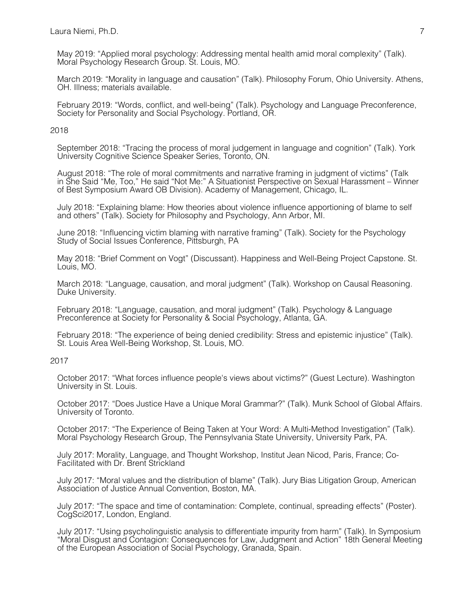May 2019: "Applied moral psychology: Addressing mental health amid moral complexity" (Talk). Moral Psychology Research Group. St. Louis, MO.

March 2019: "Morality in language and causation" (Talk). Philosophy Forum, Ohio University. Athens, OH. Illness; materials available.

February 2019: "Words, conflict, and well-being" (Talk). Psychology and Language Preconference, Society for Personality and Social Psychology. Portland, OR.

2018

September 2018: "Tracing the process of moral judgement in language and cognition" (Talk). York University Cognitive Science Speaker Series, Toronto, ON.

August 2018: "The role of moral commitments and narrative framing in judgment of victims" (Talk in She Said "Me, Too," He said "Not Me:" A Situationist Perspective on Sexual Harassment – Winner of Best Symposium Award OB Division). Academy of Management, Chicago, IL.

July 2018: "Explaining blame: How theories about violence influence apportioning of blame to self and others" (Talk). Society for Philosophy and Psychology, Ann Arbor, MI.

June 2018: "Influencing victim blaming with narrative framing" (Talk). Society for the Psychology Study of Social Issues Conference, Pittsburgh, PA

May 2018: "Brief Comment on Vogt" (Discussant). Happiness and Well-Being Project Capstone. St. Louis, MO.

March 2018: "Language, causation, and moral judgment" (Talk). Workshop on Causal Reasoning. Duke University.

February 2018: "Language, causation, and moral judgment" (Talk). Psychology & Language Preconference at Society for Personality & Social Psychology, Atlanta, GA.

February 2018: "The experience of being denied credibility: Stress and epistemic injustice" (Talk). St. Louis Area Well-Being Workshop, St. Louis, MO.

## 2017

October 2017: "What forces influence people's views about victims?" (Guest Lecture). Washington University in St. Louis.

October 2017: "Does Justice Have a Unique Moral Grammar?" (Talk). Munk School of Global Affairs. University of Toronto.

October 2017: "The Experience of Being Taken at Your Word: A Multi-Method Investigation" (Talk). Moral Psychology Research Group, The Pennsylvania State University, University Park, PA.

July 2017: Morality, Language, and Thought Workshop, Institut Jean Nicod, Paris, France; Co-Facilitated with Dr. Brent Strickland

July 2017: "Moral values and the distribution of blame" (Talk). Jury Bias Litigation Group, American Association of Justice Annual Convention, Boston, MA.

July 2017: "The space and time of contamination: Complete, continual, spreading effects" (Poster). CogSci2017, London, England.

July 2017: "Using psycholinguistic analysis to differentiate impurity from harm" (Talk). In Symposium "Moral Disgust and Contagion: Consequences for Law, Judgment and Action" 18th General Meeting of the European Association of Social Psychology, Granada, Spain.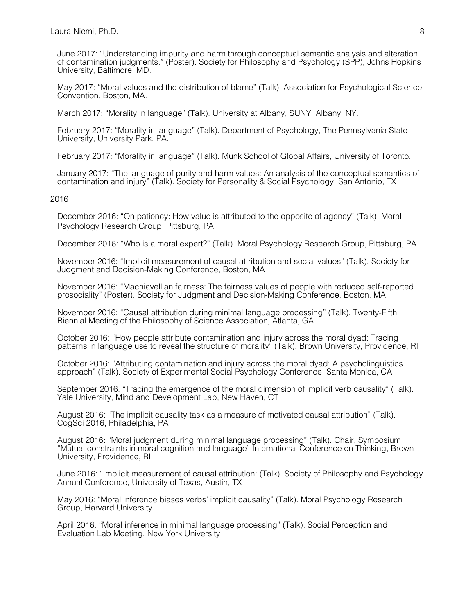June 2017: "Understanding impurity and harm through conceptual semantic analysis and alteration of contamination judgments." (Poster). Society for Philosophy and Psychology (SPP), Johns Hopkins University, Baltimore, MD.

May 2017: "Moral values and the distribution of blame" (Talk). Association for Psychological Science Convention, Boston, MA.

March 2017: "Morality in language" (Talk). University at Albany, SUNY, Albany, NY.

February 2017: "Morality in language" (Talk). Department of Psychology, The Pennsylvania State University, University Park, PA.

February 2017: "Morality in language" (Talk). Munk School of Global Affairs, University of Toronto.

January 2017: "The language of purity and harm values: An analysis of the conceptual semantics of contamination and injury" (Talk). Society for Personality & Social Psychology, San Antonio, TX

2016

December 2016: "On patiency: How value is attributed to the opposite of agency" (Talk). Moral Psychology Research Group, Pittsburg, PA

December 2016: "Who is a moral expert?" (Talk). Moral Psychology Research Group, Pittsburg, PA

November 2016: "Implicit measurement of causal attribution and social values" (Talk). Society for Judgment and Decision-Making Conference, Boston, MA

November 2016: "Machiavellian fairness: The fairness values of people with reduced self-reported prosociality" (Poster). Society for Judgment and Decision-Making Conference, Boston, MA

November 2016: "Causal attribution during minimal language processing" (Talk). Twenty-Fifth Biennial Meeting of the Philosophy of Science Association, Atlanta, GA

October 2016: "How people attribute contamination and injury across the moral dyad: Tracing patterns in language use to reveal the structure of morality" (Talk). Brown University, Providence, RI

October 2016: "Attributing contamination and injury across the moral dyad: A psycholinguistics approach" (Talk). Society of Experimental Social Psychology Conference, Santa Monica, CA

September 2016: "Tracing the emergence of the moral dimension of implicit verb causality" (Talk). Yale University, Mind and Development Lab, New Haven, CT

August 2016: "The implicit causality task as a measure of motivated causal attribution" (Talk). CogSci 2016, Philadelphia, PA

August 2016: "Moral judgment during minimal language processing" (Talk). Chair, Symposium "Mutual constraints in moral cognition and language" International Conference on Thinking, Brown University, Providence, RI

June 2016: "Implicit measurement of causal attribution: (Talk). Society of Philosophy and Psychology Annual Conference, University of Texas, Austin, TX

May 2016: "Moral inference biases verbs' implicit causality" (Talk). Moral Psychology Research Group, Harvard University

April 2016: "Moral inference in minimal language processing" (Talk). Social Perception and Evaluation Lab Meeting, New York University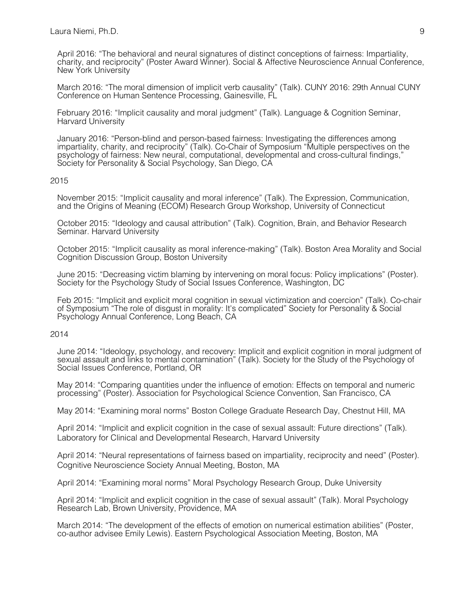April 2016: "The behavioral and neural signatures of distinct conceptions of fairness: Impartiality, charity, and reciprocity" (Poster Award Winner). Social & Affective Neuroscience Annual Conference, New York University

March 2016: "The moral dimension of implicit verb causality" (Talk). CUNY 2016: 29th Annual CUNY Conference on Human Sentence Processing, Gainesville, FL

February 2016: "Implicit causality and moral judgment" (Talk). Language & Cognition Seminar, Harvard University

January 2016: "Person-blind and person-based fairness: Investigating the differences among impartiality, charity, and reciprocity" (Talk). Co-Chair of Symposium "Multiple perspectives on the psychology of fairness: New neural, computational, developmental and cross-cultural findings," Society for Personality & Social Psychology, San Diego, CA

#### 2015

November 2015: "Implicit causality and moral inference" (Talk). The Expression, Communication, and the Origins of Meaning (ECOM) Research Group Workshop, University of Connecticut

October 2015: "Ideology and causal attribution" (Talk). Cognition, Brain, and Behavior Research Seminar. Harvard University

October 2015: "Implicit causality as moral inference-making" (Talk). Boston Area Morality and Social Cognition Discussion Group, Boston University

June 2015: "Decreasing victim blaming by intervening on moral focus: Policy implications" (Poster). Society for the Psychology Study of Social Issues Conference, Washington, DC

Feb 2015: "Implicit and explicit moral cognition in sexual victimization and coercion" (Talk). Co-chair of Symposium "The role of disgust in morality: It's complicated" Society for Personality & Social Psychology Annual Conference, Long Beach, CA

#### 2014

June 2014: "Ideology, psychology, and recovery: Implicit and explicit cognition in moral judgment of sexual assault and links to mental contamination" (Talk). Society for the Study of the Psychology of Social Issues Conference, Portland, OR

May 2014: "Comparing quantities under the influence of emotion: Effects on temporal and numeric processing" (Poster). Association for Psychological Science Convention, San Francisco, CA

May 2014: "Examining moral norms" Boston College Graduate Research Day, Chestnut Hill, MA

April 2014: "Implicit and explicit cognition in the case of sexual assault: Future directions" (Talk). Laboratory for Clinical and Developmental Research, Harvard University

April 2014: "Neural representations of fairness based on impartiality, reciprocity and need" (Poster). Cognitive Neuroscience Society Annual Meeting, Boston, MA

April 2014: "Examining moral norms" Moral Psychology Research Group, Duke University

April 2014: "Implicit and explicit cognition in the case of sexual assault" (Talk). Moral Psychology Research Lab, Brown University, Providence, MA

March 2014: "The development of the effects of emotion on numerical estimation abilities" (Poster, co-author advisee Emily Lewis). Eastern Psychological Association Meeting, Boston, MA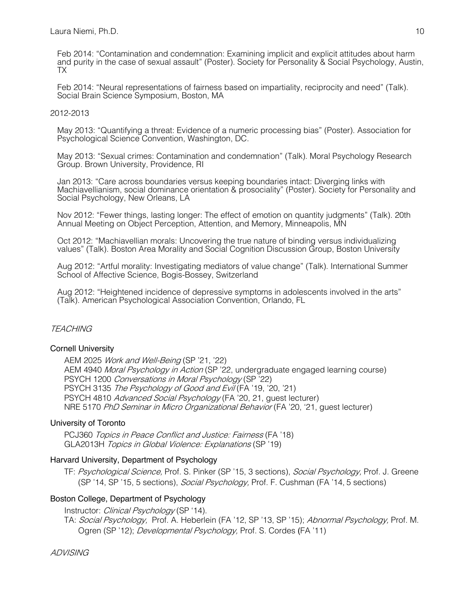Feb 2014: "Contamination and condemnation: Examining implicit and explicit attitudes about harm and purity in the case of sexual assault" (Poster). Society for Personality & Social Psychology, Austin, TX

Feb 2014: "Neural representations of fairness based on impartiality, reciprocity and need" (Talk). Social Brain Science Symposium, Boston, MA

### 2012-2013

May 2013: "Quantifying a threat: Evidence of a numeric processing bias" (Poster). Association for Psychological Science Convention, Washington, DC.

May 2013: "Sexual crimes: Contamination and condemnation" (Talk). Moral Psychology Research Group. Brown University, Providence, RI

Jan 2013: "Care across boundaries versus keeping boundaries intact: Diverging links with Machiavellianism, social dominance orientation & prosociality" (Poster). Society for Personality and Social Psychology, New Orleans, LA

Nov 2012: "Fewer things, lasting longer: The effect of emotion on quantity judgments" (Talk). 20th Annual Meeting on Object Perception, Attention, and Memory, Minneapolis, MN

Oct 2012: "Machiavellian morals: Uncovering the true nature of binding versus individualizing values" (Talk). Boston Area Morality and Social Cognition Discussion Group, Boston University

Aug 2012: "Artful morality: Investigating mediators of value change" (Talk). International Summer School of Affective Science, Bogis-Bossey, Switzerland

Aug 2012: "Heightened incidence of depressive symptoms in adolescents involved in the arts" (Talk). American Psychological Association Convention, Orlando, FL

## **TEACHING**

#### Cornell University

AEM 2025 Work and Well-Being (SP '21, '22) AEM 4940 Moral Psychology in Action (SP '22, undergraduate engaged learning course) PSYCH 1200 Conversations in Moral Psychology (SP '22) PSYCH 3135 The Psychology of Good and Evil (FA '19, '20, '21) PSYCH 4810 Advanced Social Psychology (FA '20, 21, quest lecturer) NRE 5170 PhD Seminar in Micro Organizational Behavior (FA '20, '21, guest lecturer)

#### University of Toronto

PCJ360 Topics in Peace Conflict and Justice: Fairness (FA '18) GLA2013H Topics in Global Violence: Explanations (SP '19)

#### Harvard University, Department of Psychology

TF: Psychological Science, Prof. S. Pinker (SP '15, 3 sections), Social Psychology, Prof. J. Greene (SP '14, SP '15, 5 sections), Social Psychology, Prof. F. Cushman (FA '14, 5 sections)

## Boston College, Department of Psychology

Instructor: *Clinical Psychology* (SP '14).

TA: Social Psychology, Prof. A. Heberlein (FA '12, SP '13, SP '15); Abnormal Psychology, Prof. M. Ogren (SP '12); *Developmental Psychology*, Prof. S. Cordes (FA '11)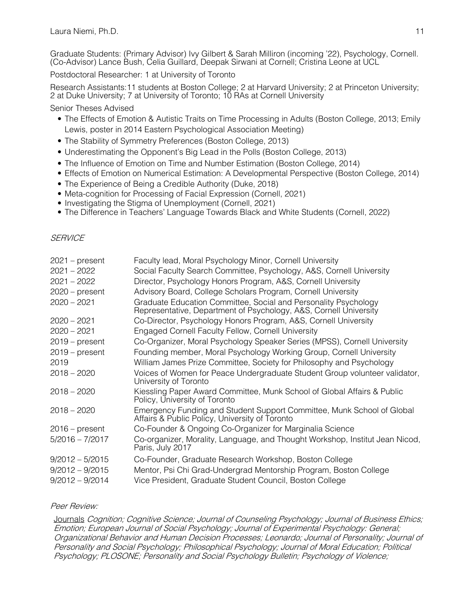Graduate Students: (Primary Advisor) Ivy Gilbert & Sarah Milliron (incoming '22), Psychology, Cornell. (Co-Advisor) Lance Bush, Celia Guillard, Deepak Sirwani at Cornell; Cristina Leone at UCL

Postdoctoral Researcher: 1 at University of Toronto

Research Assistants:11 students at Boston College; 2 at Harvard University; 2 at Princeton University; 2 at Duke University; 7 at University of Toronto; 10 RAs at Cornell University

Senior Theses Advised

- The Effects of Emotion & Autistic Traits on Time Processing in Adults (Boston College, 2013; Emily Lewis, poster in 2014 Eastern Psychological Association Meeting)
- The Stability of Symmetry Preferences (Boston College, 2013)
- Underestimating the Opponent's Big Lead in the Polls (Boston College, 2013)
- The Influence of Emotion on Time and Number Estimation (Boston College, 2014)
- Effects of Emotion on Numerical Estimation: A Developmental Perspective (Boston College, 2014)
- The Experience of Being a Credible Authority (Duke, 2018)
- Meta-cognition for Processing of Facial Expression (Cornell, 2021)
- Investigating the Stigma of Unemployment (Cornell, 2021)
- The Difference in Teachers' Language Towards Black and White Students (Cornell, 2022)

## **SFRVICF**

| $2021$ – present  | Faculty lead, Moral Psychology Minor, Cornell University                                                                             |
|-------------------|--------------------------------------------------------------------------------------------------------------------------------------|
| $2021 - 2022$     | Social Faculty Search Committee, Psychology, A&S, Cornell University                                                                 |
| $2021 - 2022$     | Director, Psychology Honors Program, A&S, Cornell University                                                                         |
| $2020$ – present  | Advisory Board, College Scholars Program, Cornell University                                                                         |
| $2020 - 2021$     | Graduate Education Committee, Social and Personality Psychology<br>Representative, Department of Psychology, A&S, Cornell University |
| $2020 - 2021$     | Co-Director, Psychology Honors Program, A&S, Cornell University                                                                      |
| $2020 - 2021$     | Engaged Cornell Faculty Fellow, Cornell University                                                                                   |
| $2019$ – present  | Co-Organizer, Moral Psychology Speaker Series (MPSS), Cornell University                                                             |
| $2019$ – present  | Founding member, Moral Psychology Working Group, Cornell University                                                                  |
| 2019              | William James Prize Committee, Society for Philosophy and Psychology                                                                 |
| $2018 - 2020$     | Voices of Women for Peace Undergraduate Student Group volunteer validator,<br>University of Toronto                                  |
| $2018 - 2020$     | Kiessling Paper Award Committee, Munk School of Global Affairs & Public<br>Policy, University of Toronto                             |
| $2018 - 2020$     | Emergency Funding and Student Support Committee, Munk School of Global<br>Affairs & Public Policy, University of Toronto             |
| $2016$ – present  | Co-Founder & Ongoing Co-Organizer for Marginalia Science                                                                             |
| $5/2016 - 7/2017$ | Co-organizer, Morality, Language, and Thought Workshop, Institut Jean Nicod,<br>Paris, July 2017                                     |
| $9/2012 - 5/2015$ | Co-Founder, Graduate Research Workshop, Boston College                                                                               |
| $9/2012 - 9/2015$ | Mentor, Psi Chi Grad-Undergrad Mentorship Program, Boston College                                                                    |
| $9/2012 - 9/2014$ | Vice President, Graduate Student Council, Boston College                                                                             |

#### Peer Review:

Journals Cognition; Cognitive Science; Journal of Counseling Psychology; Journal of Business Ethics; Emotion; European Journal of Social Psychology; Journal of Experimental Psychology: General; Organizational Behavior and Human Decision Processes; Leonardo; Journal of Personality; Journal of Personality and Social Psychology; Philosophical Psychology; Journal of Moral Education; Political Psychology; PLOSONE; Personality and Social Psychology Bulletin; Psychology of Violence;